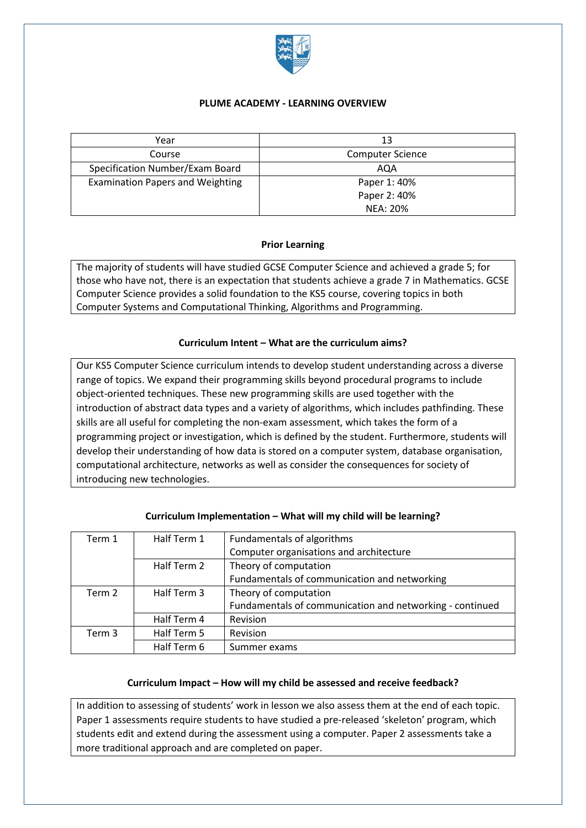

### **PLUME ACADEMY - LEARNING OVERVIEW**

| Year                                    | 13                      |
|-----------------------------------------|-------------------------|
| Course                                  | <b>Computer Science</b> |
| Specification Number/Exam Board         | AQA                     |
| <b>Examination Papers and Weighting</b> | Paper 1: 40%            |
|                                         | Paper 2: 40%            |
|                                         | NEA: 20%                |

# **Prior Learning**

The majority of students will have studied GCSE Computer Science and achieved a grade 5; for those who have not, there is an expectation that students achieve a grade 7 in Mathematics. GCSE Computer Science provides a solid foundation to the KS5 course, covering topics in both Computer Systems and Computational Thinking, Algorithms and Programming.

# **Curriculum Intent – What are the curriculum aims?**

Our KS5 Computer Science curriculum intends to develop student understanding across a diverse range of topics. We expand their programming skills beyond procedural programs to include object-oriented techniques. These new programming skills are used together with the introduction of abstract data types and a variety of algorithms, which includes pathfinding. These skills are all useful for completing the non-exam assessment, which takes the form of a programming project or investigation, which is defined by the student. Furthermore, students will develop their understanding of how data is stored on a computer system, database organisation, computational architecture, networks as well as consider the consequences for society of introducing new technologies.

| Term 1            | Half Term 1 | Fundamentals of algorithms                               |
|-------------------|-------------|----------------------------------------------------------|
|                   |             | Computer organisations and architecture                  |
|                   | Half Term 2 | Theory of computation                                    |
|                   |             | Fundamentals of communication and networking             |
| Term 2            | Half Term 3 | Theory of computation                                    |
|                   |             | Fundamentals of communication and networking - continued |
|                   | Half Term 4 | Revision                                                 |
| Term <sub>3</sub> | Half Term 5 | Revision                                                 |
|                   | Half Term 6 | Summer exams                                             |

### **Curriculum Implementation – What will my child will be learning?**

#### **Curriculum Impact – How will my child be assessed and receive feedback?**

In addition to assessing of students' work in lesson we also assess them at the end of each topic. Paper 1 assessments require students to have studied a pre-released 'skeleton' program, which students edit and extend during the assessment using a computer. Paper 2 assessments take a more traditional approach and are completed on paper.